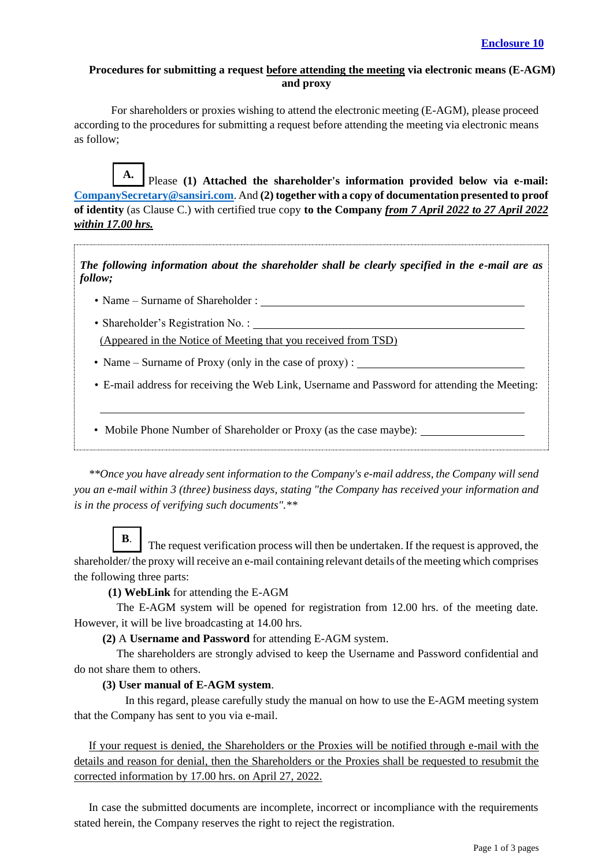#### **Procedures for submitting a request before attending the meeting via electronic means (E-AGM) and proxy**

For shareholders or proxies wishing to attend the electronic meeting (E-AGM), please proceed according to the procedures for submitting a request before attending the meeting via electronic means as follow;

Please **(1) Attached the shareholder's information provided below via e-mail: [CompanySecretary@sansiri.com](mailto:CompanySecretary@sansiri.com)**. And **(2) together with a copy of documentation presented to proof of identity** (as Clause C.) with certified true copy **to the Company** *from 7 April 2022 to 27 April 2022 within 17.00 hrs.* **A.**

*The following information about the shareholder shall be clearly specified in the e-mail are as follow;*

- Name Surname of Shareholder :
- Shareholder's Registration No. : (Appeared in the Notice of Meeting that you received from TSD)
- Name Surname of Proxy (only in the case of proxy) : \_\_\_\_\_\_\_\_\_\_\_\_\_\_\_\_\_\_\_\_\_\_\_\_
- E-mail address for receiving the Web Link, Username and Password for attending the Meeting:
- Mobile Phone Number of Shareholder or Proxy (as the case maybe):

*\*\*Once you have already sent information to the Company's e-mail address, the Company will send you an e-mail within 3 (three) business days, stating "the Company has received your information and is in the process of verifying such documents".\*\**

The request verification process will then be undertaken. If the request is approved, the shareholder/ the proxy will receive an e-mail containing relevant details of the meeting which comprises the following three parts: **B**.

 **(1) WebLink** for attending the E-AGM

 The E-AGM system will be opened for registration from 12.00 hrs. of the meeting date. However, it will be live broadcasting at 14.00 hrs.

**(2)** A **Username and Password** for attending E-AGM system.

 The shareholders are strongly advised to keep the Username and Password confidential and do not share them to others.

#### **(3) User manual of E-AGM system**.

In this regard, please carefully study the manual on how to use the E-AGM meeting system that the Company has sent to you via e-mail.

If your request is denied, the Shareholders or the Proxies will be notified through e-mail with the details and reason for denial, then the Shareholders or the Proxies shall be requested to resubmit the corrected information by 17.00 hrs. on April 27, 2022.

In case the submitted documents are incomplete, incorrect or incompliance with the requirements stated herein, the Company reserves the right to reject the registration.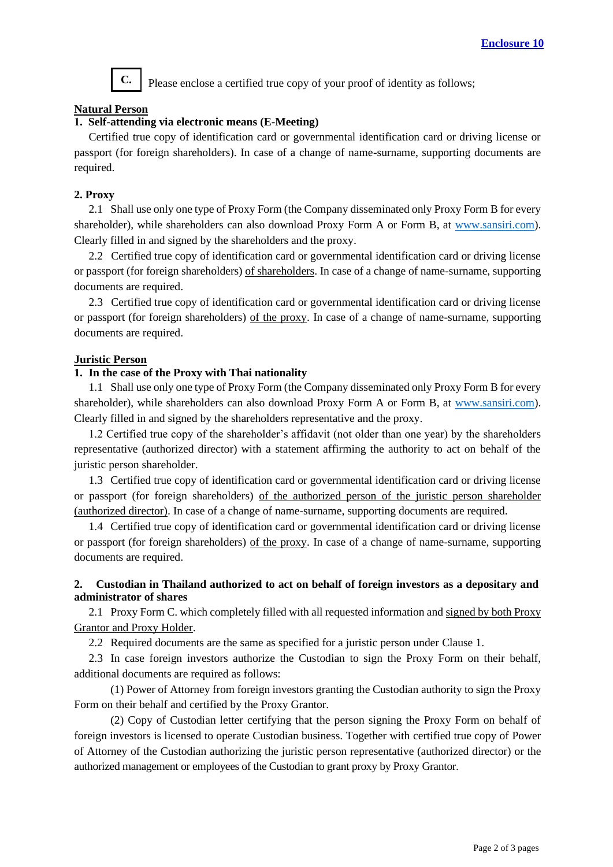

Please enclose a certified true copy of your proof of identity as follows;

## **Natural Person**

# **1. Self-attending via electronic means (E-Meeting)**

Certified true copy of identification card or governmental identification card or driving license or passport (for foreign shareholders). In case of a change of name-surname, supporting documents are required.

## **2. Proxy**

2.1 Shall use only one type of Proxy Form (the Company disseminated only Proxy Form B for every shareholder), while shareholders can also download Proxy Form A or Form B, at [www.sansiri.com\)](http://www.sansiri.com/). Clearly filled in and signed by the shareholders and the proxy.

2.2 Certified true copy of identification card or governmental identification card or driving license or passport (for foreign shareholders) of shareholders. In case of a change of name-surname, supporting documents are required.

2.3 Certified true copy of identification card or governmental identification card or driving license or passport (for foreign shareholders) of the proxy. In case of a change of name-surname, supporting documents are required.

## **Juristic Person**

## **1. In the case of the Proxy with Thai nationality**

1.1 Shall use only one type of Proxy Form (the Company disseminated only Proxy Form B for every shareholder), while shareholders can also download Proxy Form A or Form B, at [www.sansiri.com\)](http://www.sansiri.com/). Clearly filled in and signed by the shareholders representative and the proxy.

1.2 Certified true copy of the shareholder's affidavit (not older than one year) by the shareholders representative (authorized director) with a statement affirming the authority to act on behalf of the juristic person shareholder.

1.3 Certified true copy of identification card or governmental identification card or driving license or passport (for foreign shareholders) of the authorized person of the juristic person shareholder (authorized director). In case of a change of name-surname, supporting documents are required.

1.4 Certified true copy of identification card or governmental identification card or driving license or passport (for foreign shareholders) of the proxy. In case of a change of name-surname, supporting documents are required.

# **2. Custodian in Thailand authorized to act on behalf of foreign investors as a depositary and administrator of shares**

2.1 Proxy Form C. which completely filled with all requested information and signed by both Proxy Grantor and Proxy Holder.

2.2 Required documents are the same as specified for a juristic person under Clause 1.

2.3 In case foreign investors authorize the Custodian to sign the Proxy Form on their behalf, additional documents are required as follows:

(1) Power of Attorney from foreign investors granting the Custodian authority to sign the Proxy Form on their behalf and certified by the Proxy Grantor.

(2) Copy of Custodian letter certifying that the person signing the Proxy Form on behalf of foreign investors is licensed to operate Custodian business. Together with certified true copy of Power of Attorney of the Custodian authorizing the juristic person representative (authorized director) or the authorized management or employees of the Custodian to grant proxy by Proxy Grantor.